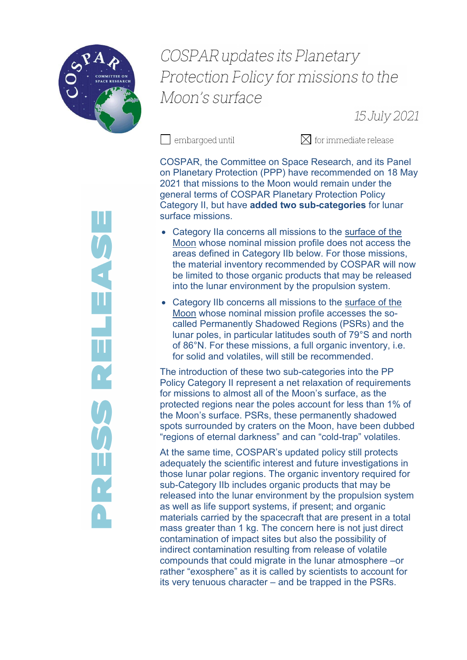

## **COSPAR updates its Planetary** Protection Folicy for missions to the Moon's surface

15 July 2021

 $\Box$  embargoed until

 $\boxtimes$  for immediate release

COSPAR, the Committee on Space Research, and its Panel on Planetary Protection (PPP) have recommended on 18 May 2021 that missions to the Moon would remain under the general terms of COSPAR Planetary Protection Policy Category II, but have **added two sub-categories** for lunar surface missions.

- Category IIa concerns all missions to the surface of the Moon whose nominal mission profile does not access the areas defined in Category IIb below. For those missions, the material inventory recommended by COSPAR will now be limited to those organic products that may be released into the lunar environment by the propulsion system.
- Category IIb concerns all missions to the surface of the Moon whose nominal mission profile accesses the socalled Permanently Shadowed Regions (PSRs) and the lunar poles, in particular latitudes south of 79°S and north of 86°N. For these missions, a full organic inventory, i.e. for solid and volatiles, will still be recommended.

The introduction of these two sub-categories into the PP Policy Category II represent a net relaxation of requirements for missions to almost all of the Moon's surface, as the protected regions near the poles account for less than 1% of the Moon's surface. PSRs, these permanently shadowed spots surrounded by craters on the Moon, have been dubbed "regions of eternal darkness" and can "cold-trap" volatiles.

At the same time, COSPAR's updated policy still protects adequately the scientific interest and future investigations in those lunar polar regions. The organic inventory required for sub-Category IIb includes organic products that may be released into the lunar environment by the propulsion system as well as life support systems, if present; and organic materials carried by the spacecraft that are present in a total mass greater than 1 kg. The concern here is not just direct contamination of impact sites but also the possibility of indirect contamination resulting from release of volatile compounds that could migrate in the lunar atmosphere –or rather "exosphere" as it is called by scientists to account for its very tenuous character – and be trapped in the PSRs.

**SALAS RELEASE**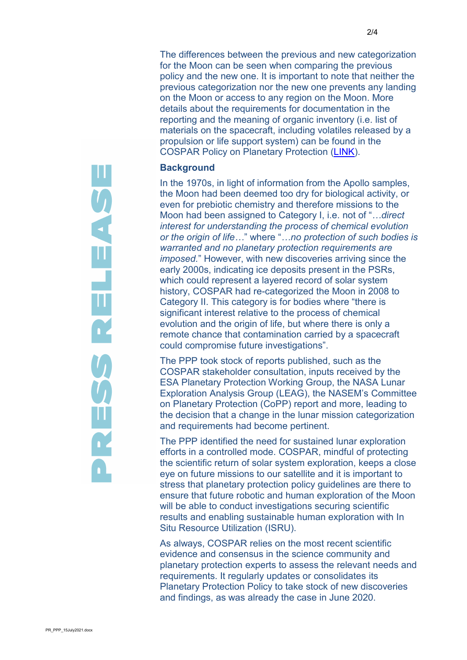The differences between the previous and new categorization for the Moon can be seen when comparing the previous policy and the new one. It is important to note that neither the previous categorization nor the new one prevents any landing on the Moon or access to any region on the Moon. More details about the requirements for documentation in the reporting and the meaning of organic inventory (i.e. list of materials on the spacecraft, including volatiles released by a propulsion or life support system) can be found in the COSPAR Policy on Planetary Protection [\(LINK\)](https://cosparhq.cnes.fr/cospar-policy-on-planetary-protection/).

## **Background**

In the 1970s, in light of information from the Apollo samples, the Moon had been deemed too dry for biological activity, or even for prebiotic chemistry and therefore missions to the Moon had been assigned to Category I, i.e. not of "*…direct interest for understanding the process of chemical evolution or the origin of life…*" where "*…no protection of such bodies is warranted and no planetary protection requirements are imposed.*" However, with new discoveries arriving since the early 2000s, indicating ice deposits present in the PSRs, which could represent a layered record of solar system history, COSPAR had re-categorized the Moon in 2008 to Category II. This category is for bodies where "there is significant interest relative to the process of chemical evolution and the origin of life, but where there is only a remote chance that contamination carried by a spacecraft could compromise future investigations".

The PPP took stock of reports published, such as the COSPAR stakeholder consultation, inputs received by the ESA Planetary Protection Working Group, the NASA Lunar Exploration Analysis Group (LEAG), the NASEM's Committee on Planetary Protection (CoPP) report and more, leading to the decision that a change in the lunar mission categorization and requirements had become pertinent.

The PPP identified the need for sustained lunar exploration efforts in a controlled mode. COSPAR, mindful of protecting the scientific return of solar system exploration, keeps a close eye on future missions to our satellite and it is important to stress that planetary protection policy guidelines are there to ensure that future robotic and human exploration of the Moon will be able to conduct investigations securing scientific results and enabling sustainable human exploration with In Situ Resource Utilization (ISRU).

As always, COSPAR relies on the most recent scientific evidence and consensus in the science community and planetary protection experts to assess the relevant needs and requirements. It regularly updates or consolidates its Planetary Protection Policy to take stock of new discoveries and findings, as was already the case in June 2020.

**SARS RELEASE**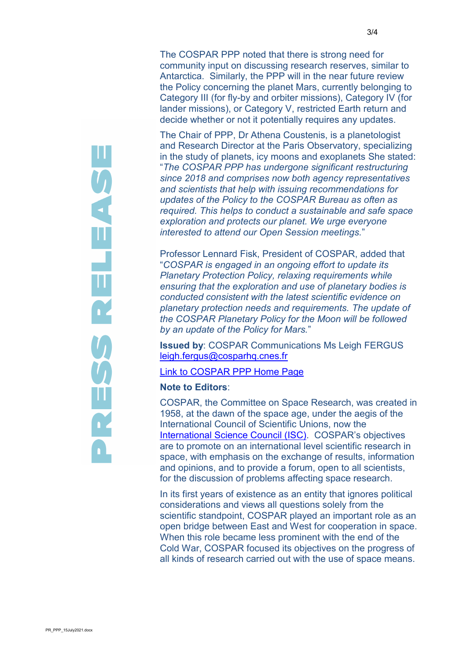The COSPAR PPP noted that there is strong need for community input on discussing research reserves, similar to Antarctica. Similarly, the PPP will in the near future review the Policy concerning the planet Mars, currently belonging to Category III (for fly-by and orbiter missions), Category IV (for lander missions), or Category V, restricted Earth return and decide whether or not it potentially requires any updates.

The Chair of PPP, Dr Athena Coustenis, is a planetologist and Research Director at the Paris Observatory, specializing in the study of planets, icy moons and exoplanets She stated: "*The COSPAR PPP has undergone significant restructuring since 2018 and comprises now both agency representatives and scientists that help with issuing recommendations for updates of the Policy to the COSPAR Bureau as often as required. This helps to conduct a sustainable and safe space exploration and protects our planet. We urge everyone interested to attend our Open Session meetings.*"

Professor Lennard Fisk, President of COSPAR, added that "*COSPAR is engaged in an ongoing effort to update its Planetary Protection Policy, relaxing requirements while ensuring that the exploration and use of planetary bodies is conducted consistent with the latest scientific evidence on planetary protection needs and requirements. The update of the COSPAR Planetary Policy for the Moon will be followed by an update of the Policy for Mars.*"

**Issued by**: COSPAR Communications Ms Leigh FERGUS [leigh.fergus@cosparhq.cnes.fr](mailto:leigh.fergus@cosparhq.cnes.fr)

## [Link to COSPAR PPP Home Page](https://cosparhq.cnes.fr/scientific-structure/panels/panel-on-planetary-protection-ppp/)

## **Note to Editors**:

COSPAR, the Committee on Space Research, was created in 1958, at the dawn of the space age, under the aegis of the International Council of Scientific Unions, now the [International Science Council \(ISC\)](https://council.science/). COSPAR's objectives are to promote on an international level scientific research in space, with emphasis on the exchange of results, information and opinions, and to provide a forum, open to all scientists, for the discussion of problems affecting space research.

In its first years of existence as an entity that ignores political considerations and views all questions solely from the scientific standpoint, COSPAR played an important role as an open bridge between East and West for cooperation in space. When this role became less prominent with the end of the Cold War, COSPAR focused its objectives on the progress of all kinds of research carried out with the use of space means.

**USENELENCE**